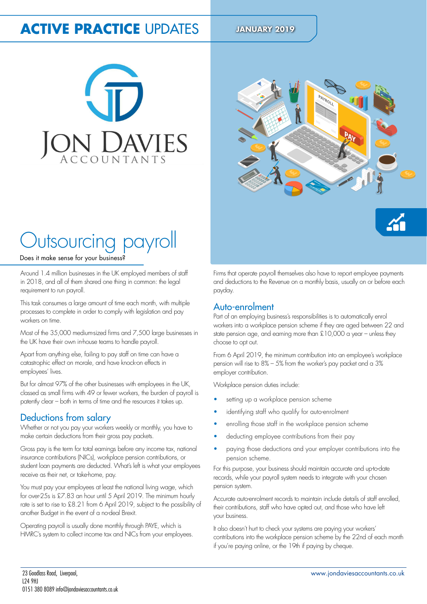### **ACTIVE PRACTICE UPDATES** JANUARY 2019





## **Jutsourcing payroll**

Does it make sense for your business?

Around 1.4 million businesses in the UK employed members of staff in 2018, and all of them shared one thing in common: the legal requirement to run payroll.

This task consumes a large amount of time each month, with multiple processes to complete in order to comply with legislation and pay workers on time.

Most of the 35,000 medium-sized irms and 7,500 large businesses in the UK have their own in-house teams to handle payroll.

Apart from anything else, failing to pay staff on time can have a catastrophic effect on morale, and have knock-on effects in employees' lives.

But for almost 97% of the other businesses with employees in the UK, classed as small irms with 49 or fewer workers, the burden of payroll is patently clear – both in terms of time and the resources it takes up.

#### Deductions from salary

Whether or not you pay your workers weekly or monthly, you have to make certain deductions from their gross pay packets.

Gross pay is the term for total earnings before any income tax, national insurance contributions (NICs), workplace pension contributions, or student loan payments are deducted. What's left is what your employees receive as their net, or take-home, pay.

You must pay your employees at least the national living wage, which for over-25s is £7.83 an hour until 5 April 2019. The minimum hourly rate is set to rise to £8.21 from 6 April 2019, subject to the possibility of another Budget in the event of a no-deal Brexit.

Operating payroll is usually done monthly through PAYE, which is HMRC's system to collect income tax and NICs from your employees.

Firms that operate payroll themselves also have to report employee payments and deductions to the Revenue on a monthly basis, usually on or before each payday.

#### Auto-enrolment

Part of an employing business's responsibilities is to automatically enrol workers into a workplace pension scheme if they are aged between 22 and state pension age, and earning more than £10,000 a year – unless they choose to opt out.

From 6 April 2019, the minimum contribution into an employee's workplace pension will rise to 8% – 5% from the worker's pay packet and a 3% employer contribution.

Workplace pension duties include:

- setting up a workplace pension scheme
- identifying staff who qualify for auto-enrolment
- enrolling those staff in the workplace pension scheme
- deducting employee contributions from their pay
- paying those deductions and your employer contributions into the pension scheme.

For this purpose, your business should maintain accurate and up-to-date records, while your payroll system needs to integrate with your chosen pension system.

Accurate auto-enrolment records to maintain include details of staff enrolled, their contributions, staff who have opted out, and those who have left your business.

It also doesn't hurt to check your systems are paying your workers' contributions into the workplace pension scheme by the 22nd of each month if you're paying online, or the 19th if paying by cheque.